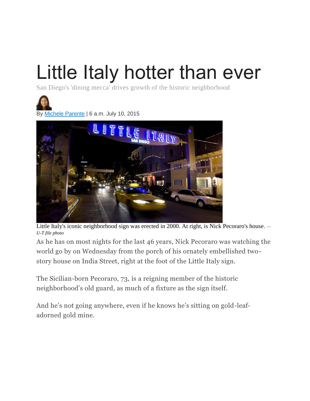## Little Italy hotter than ever

San Diego's 'dining mecca' drives growth of the historic neighborhood



By Michele [Parente](http://www.sandiegouniontribune.com/staff/michele-parente/) | 6 a.m. July 10, 2015



Little Italy's iconic neighborhood sign was erected in 2000. At right, is Nick Pecoraro's house. *— U-T file photo*

As he has on most nights for the last 46 years, Nick Pecoraro was watching the world go by on Wednesday from the porch of his ornately embellished twostory house on India Street, right at the foot of the Little Italy sign.

The Sicilian-born Pecoraro, 73, is a reigning member of the historic neighborhood's old guard, as much of a fixture as the sign itself.

And he's not going anywhere, even if he knows he's sitting on gold-leafadorned gold mine.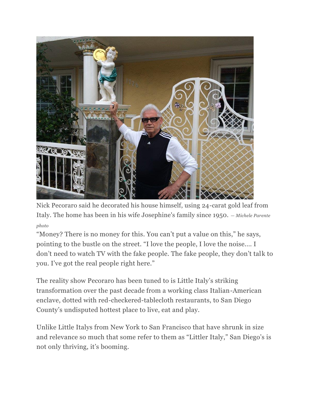

Nick Pecoraro said he decorated his house himself, using 24-carat gold leaf from Italy. The home has been in his wife Josephine's family since 1950. *— Michele Parente photo*

"Money? There is no money for this. You can't put a value on this," he says, pointing to the bustle on the street. "I love the people, I love the noise.… I don't need to watch TV with the fake people. The fake people, they don't talk to you. I've got the real people right here."

The reality show Pecoraro has been tuned to is Little Italy's striking transformation over the past decade from a working class Italian-American enclave, dotted with red-checkered-tablecloth restaurants, to San Diego County's undisputed hottest place to live, eat and play.

Unlike Little Italys from New York to San Francisco that have shrunk in size and relevance so much that some refer to them as "Littler Italy," San Diego's is not only thriving, it's booming.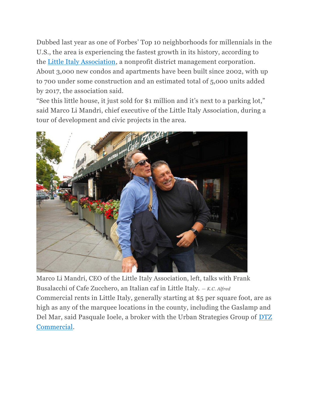Dubbed last year as one of Forbes' Top 10 neighborhoods for millennials in the U.S., the area is experiencing the fastest growth in its history, according to the [Little Italy Association,](http://www.littleitalysd.com/) a nonprofit district management corporation. About 3,000 new condos and apartments have been built since 2002, with up to 700 under some construction and an estimated total of 5,000 units added by 2017, the association said.

"See this little house, it just sold for \$1 million and it's next to a parking lot," said Marco Li Mandri, chief executive of the Little Italy Association, during a tour of development and civic projects in the area.



Marco Li Mandri, CEO of the Little Italy Association, left, talks with Frank Busalacchi of Cafe Zucchero, an Italian caf in Little Italy. *— K.C. Alfred* Commercial rents in Little Italy, generally starting at \$5 per square foot, are as high as any of the marquee locations in the county, including the Gaslamp and Del Mar, said Pasquale Ioele, a broker with the Urban Strategies Group of [DTZ](http://dtz.cassidyturley.com/)  [Commercial.](http://dtz.cassidyturley.com/)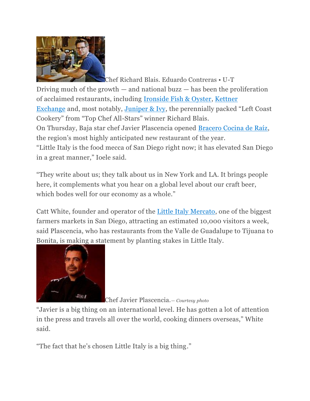

Chef Richard Blais. Eduardo Contreras • U-T Driving much of the growth  $-$  and national buzz  $-$  has been the proliferation of acclaimed restaurants, including [Ironside Fish & Oyster,](http://www.ironsidefishandoyster.com/) [Kettner](http://www.kettnerexchange.com/)  [Exchange](http://www.kettnerexchange.com/) and, most notably, [Juniper & Ivy](http://www.juniperandivy.com/), the perennially packed "Left Coast Cookery" from "Top Chef All-Stars" winner Richard Blais. On Thursday, Baja star chef Javier Plascencia opened [Bracero Cocina de Raíz,](http://bracerococina.com/) the region's most highly anticipated new restaurant of the year. "Little Italy is the food mecca of San Diego right now; it has elevated San Diego in a great manner," Ioele said.

"They write about us; they talk about us in New York and LA. It brings people here, it complements what you hear on a global level about our craft beer, which bodes well for our economy as a whole."

Catt White, founder and operator of the [Little Italy Mercato,](http://www.littleitalysd.com/mercato/) one of the biggest farmers markets in San Diego, attracting an estimated 10,000 visitors a week, said Plascencia, who has restaurants from the Valle de Guadalupe to Tijuana to Bonita, is making a statement by planting stakes in Little Italy.



Chef Javier Plascencia.*— Courtesy photo*

"Javier is a big thing on an international level. He has gotten a lot of attention in the press and travels all over the world, cooking dinners overseas," White said.

"The fact that he's chosen Little Italy is a big thing."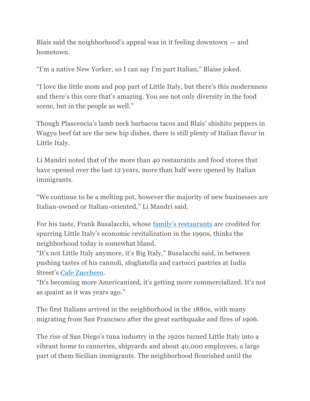Blais said the neighborhood's appeal was in it feeling downtown  $-$  and hometown.

"I'm a native New Yorker, so I can say I'm part Italian," Blaise joked.

"I love the little mom and pop part of Little Italy, but there's this modernness and there's this core that's amazing. You see not only diversity in the food scene, but in the people as well."

Though Plascencia's lamb neck barbacoa tacos and Blais' shishito peppers in Wagyu beef fat are the new hip dishes, there is still plenty of Italian flavor in Little Italy.

Li Mandri noted that of the more than 40 restaurants and food stores that have opened over the last 12 years, more than half were opened by Italian immigrants.

"We continue to be a melting pot, however the majority of new businesses are Italian-owned or Italian-oriented," Li Mandri said.

For his taste, Frank Busalacchi, whose [family's restaurants](http://www.busalacchirestaurants.com/) are credited for spurring Little Italy's economic revitalization in the 1990s, thinks the neighborhood today is somewhat bland.

"It's not Little Italy anymore, it's Big Italy," Busalacchi said, in between pushing tastes of his cannoli, sfogliatella and cartocci pastries at India Street's [Cafe Zucchero.](http://www.cafezucchero.com/home.html)

"It's becoming more Americanized, it's getting more commercialized. It's not as quaint as it was years ago."

The first Italians arrived in the neighborhood in the 1880s, with many migrating from San Francisco after the great earthquake and fires of 1906.

The rise of San Diego's tuna industry in the 1920s turned Little Italy into a vibrant home to canneries, shipyards and about 40,000 employees, a large part of them Sicilian immigrants. The neighborhood flourished until the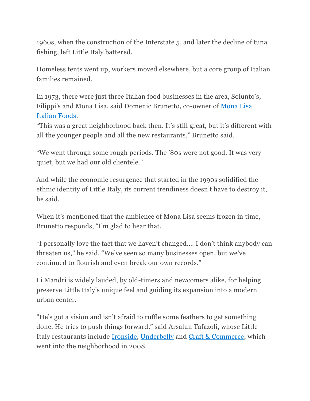1960s, when the construction of the Interstate 5, and later the decline of tuna fishing, left Little Italy battered.

Homeless tents went up, workers moved elsewhere, but a core group of Italian families remained.

In 1973, there were just three Italian food businesses in the area, Solunto's, Filippi's and Mona Lisa, said Domenic Brunetto, co-owner of [Mona Lisa](http://www.monalisalittleitaly.com/)  [Italian Foods.](http://www.monalisalittleitaly.com/)

"This was a great neighborhood back then. It's still great, but it's different with all the younger people and all the new restaurants," Brunetto said.

"We went through some rough periods. The '80s were not good. It was very quiet, but we had our old clientele."

And while the economic resurgence that started in the 1990s solidified the ethnic identity of Little Italy, its current trendiness doesn't have to destroy it, he said.

When it's mentioned that the ambience of Mona Lisa seems frozen in time, Brunetto responds, "I'm glad to hear that.

"I personally love the fact that we haven't changed.… I don't think anybody can threaten us," he said. "We've seen so many businesses open, but we've continued to flourish and even break our own records."

Li Mandri is widely lauded, by old-timers and newcomers alike, for helping preserve Little Italy's unique feel and guiding its expansion into a modern urban center.

"He's got a vision and isn't afraid to ruffle some feathers to get something done. He tries to push things forward," said Arsalun Tafazoli, whose Little Italy restaurants include [Ironside,](http://www.ironsidefishandoyster.com/) [Underbelly](http://www.godblessunderbelly.com/) and [Craft & Commerce,](http://www.craft-commerce.com/) which went into the neighborhood in 2008.